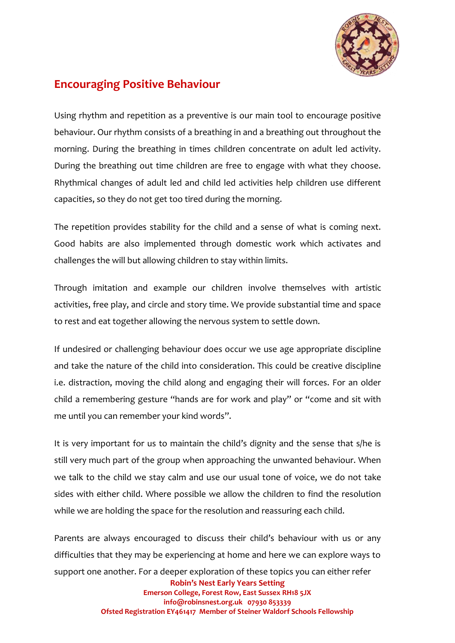

## **Encouraging Positive Behaviour**

Using rhythm and repetition as a preventive is our main tool to encourage positive behaviour. Our rhythm consists of a breathing in and a breathing out throughout the morning. During the breathing in times children concentrate on adult led activity. During the breathing out time children are free to engage with what they choose. Rhythmical changes of adult led and child led activities help children use different capacities, so they do not get too tired during the morning.

The repetition provides stability for the child and a sense of what is coming next. Good habits are also implemented through domestic work which activates and challenges the will but allowing children to stay within limits.

Through imitation and example our children involve themselves with artistic activities, free play, and circle and story time. We provide substantial time and space to rest and eat together allowing the nervous system to settle down.

If undesired or challenging behaviour does occur we use age appropriate discipline and take the nature of the child into consideration. This could be creative discipline i.e. distraction, moving the child along and engaging their will forces. For an older child a remembering gesture "hands are for work and play" or "come and sit with me until you can remember your kind words".

It is very important for us to maintain the child's dignity and the sense that s/he is still very much part of the group when approaching the unwanted behaviour. When we talk to the child we stay calm and use our usual tone of voice, we do not take sides with either child. Where possible we allow the children to find the resolution while we are holding the space for the resolution and reassuring each child.

Parents are always encouraged to discuss their child's behaviour with us or any difficulties that they may be experiencing at home and here we can explore ways to support one another. For a deeper exploration of these topics you can either refer

> **Robin's Nest Early Years Setting Emerson College, Forest Row, East Sussex RH18 5JX info@robinsnest.org.uk 07930 853339 Ofsted Registration EY461417 Member of Steiner Waldorf Schools Fellowship**